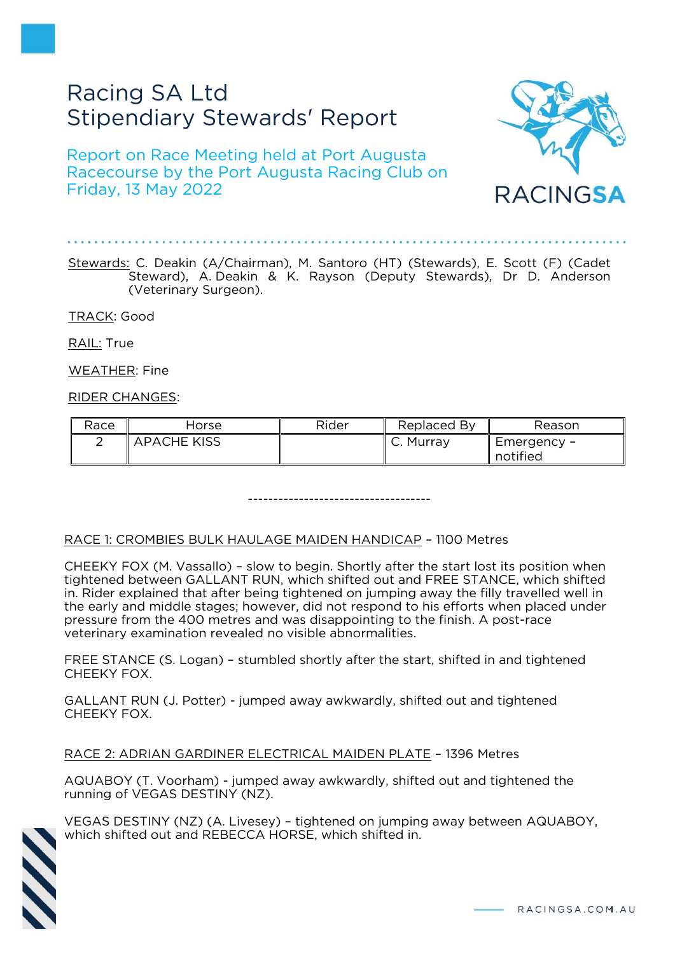# Racing SA Ltd Stipendiary Stewards' Report

Report on Race Meeting held at Port Augusta Racecourse by the Port Augusta Racing Club on Friday, 13 May 2022



Stewards: C. Deakin (A/Chairman), M. Santoro (HT) (Stewards), E. Scott (F) (Cadet Steward), A. Deakin & K. Rayson (Deputy Stewards), Dr D. Anderson (Veterinary Surgeon).

TRACK: Good

RAIL: True

WEATHER: Fine

RIDER CHANGES:

| Race | Horse              | Rider | Replaced By | Reason      |
|------|--------------------|-------|-------------|-------------|
|      | <b>APACHE KISS</b> |       | C. Murray   | Emergency – |
|      |                    |       |             | notified    |

------------------------------------

# RACE 1: CROMBIES BULK HAULAGE MAIDEN HANDICAP – 1100 Metres

CHEEKY FOX (M. Vassallo) – slow to begin. Shortly after the start lost its position when tightened between GALLANT RUN, which shifted out and FREE STANCE, which shifted in. Rider explained that after being tightened on jumping away the filly travelled well in the early and middle stages; however, did not respond to his efforts when placed under pressure from the 400 metres and was disappointing to the finish. A post-race veterinary examination revealed no visible abnormalities.

FREE STANCE (S. Logan) – stumbled shortly after the start, shifted in and tightened CHEEKY FOX.

GALLANT RUN (J. Potter) - jumped away awkwardly, shifted out and tightened CHEEKY FOX.

RACE 2: ADRIAN GARDINER ELECTRICAL MAIDEN PLATE – 1396 Metres

AQUABOY (T. Voorham) - jumped away awkwardly, shifted out and tightened the running of VEGAS DESTINY (NZ).



VEGAS DESTINY (NZ) (A. Livesey) – tightened on jumping away between AQUABOY, which shifted out and REBECCA HORSE, which shifted in.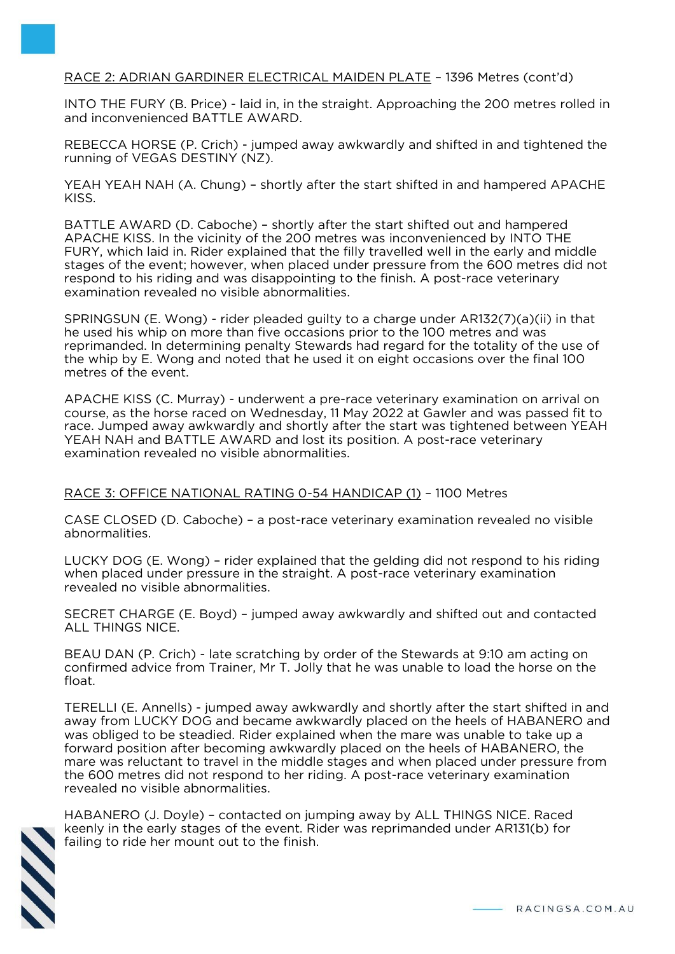# RACE 2: ADRIAN GARDINER ELECTRICAL MAIDEN PLATE – 1396 Metres (cont'd)

INTO THE FURY (B. Price) - laid in, in the straight. Approaching the 200 metres rolled in and inconvenienced BATTLE AWARD.

REBECCA HORSE (P. Crich) - jumped away awkwardly and shifted in and tightened the running of VEGAS DESTINY (NZ).

YEAH YEAH NAH (A. Chung) – shortly after the start shifted in and hampered APACHE KISS.

BATTLE AWARD (D. Caboche) – shortly after the start shifted out and hampered APACHE KISS. In the vicinity of the 200 metres was inconvenienced by INTO THE FURY, which laid in. Rider explained that the filly travelled well in the early and middle stages of the event; however, when placed under pressure from the 600 metres did not respond to his riding and was disappointing to the finish. A post-race veterinary examination revealed no visible abnormalities.

SPRINGSUN (E. Wong) - rider pleaded guilty to a charge under AR132(7)(a)(ii) in that he used his whip on more than five occasions prior to the 100 metres and was reprimanded. In determining penalty Stewards had regard for the totality of the use of the whip by E. Wong and noted that he used it on eight occasions over the final 100 metres of the event.

APACHE KISS (C. Murray) - underwent a pre-race veterinary examination on arrival on course, as the horse raced on Wednesday, 11 May 2022 at Gawler and was passed fit to race. Jumped away awkwardly and shortly after the start was tightened between YEAH YEAH NAH and BATTLE AWARD and lost its position. A post-race veterinary examination revealed no visible abnormalities.

### RACE 3: OFFICE NATIONAL RATING 0-54 HANDICAP (1) – 1100 Metres

CASE CLOSED (D. Caboche) – a post-race veterinary examination revealed no visible abnormalities.

LUCKY DOG (E. Wong) – rider explained that the gelding did not respond to his riding when placed under pressure in the straight. A post-race veterinary examination revealed no visible abnormalities.

SECRET CHARGE (E. Boyd) – jumped away awkwardly and shifted out and contacted ALL THINGS NICE.

BEAU DAN (P. Crich) - late scratching by order of the Stewards at 9:10 am acting on confirmed advice from Trainer, Mr T. Jolly that he was unable to load the horse on the float.

TERELLI (E. Annells) - jumped away awkwardly and shortly after the start shifted in and away from LUCKY DOG and became awkwardly placed on the heels of HABANERO and was obliged to be steadied. Rider explained when the mare was unable to take up a forward position after becoming awkwardly placed on the heels of HABANERO, the mare was reluctant to travel in the middle stages and when placed under pressure from the 600 metres did not respond to her riding. A post-race veterinary examination revealed no visible abnormalities.



HABANERO (J. Doyle) – contacted on jumping away by ALL THINGS NICE. Raced keenly in the early stages of the event. Rider was reprimanded under AR131(b) for failing to ride her mount out to the finish.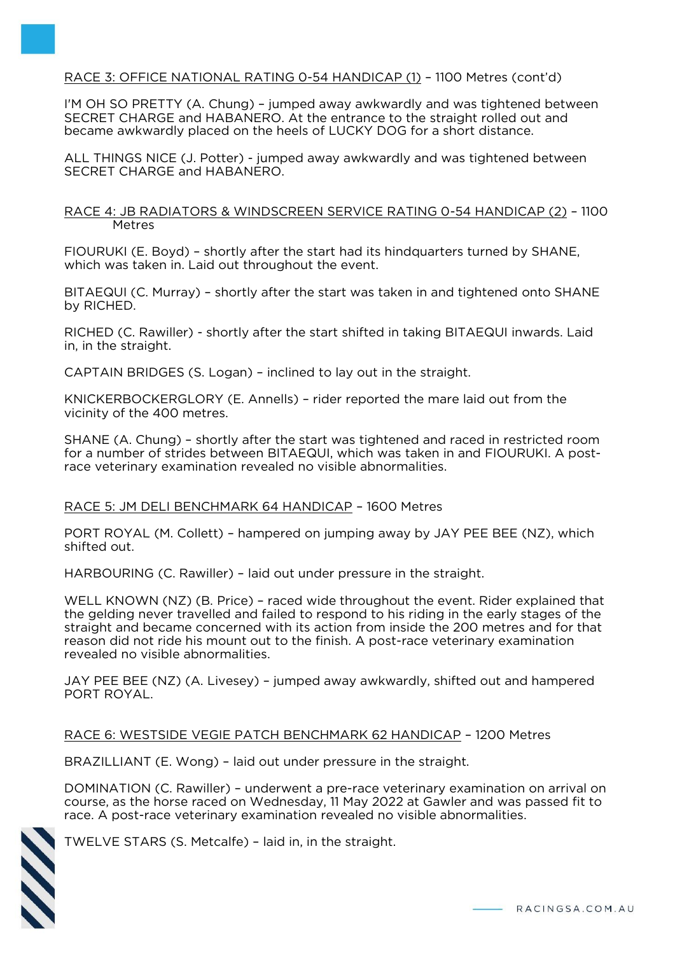# RACE 3: OFFICE NATIONAL RATING 0-54 HANDICAP (1) – 1100 Metres (cont'd)

I'M OH SO PRETTY (A. Chung) – jumped away awkwardly and was tightened between SECRET CHARGE and HABANERO. At the entrance to the straight rolled out and became awkwardly placed on the heels of LUCKY DOG for a short distance.

ALL THINGS NICE (J. Potter) - jumped away awkwardly and was tightened between SECRET CHARGE and HABANERO.

RACE 4: JB RADIATORS & WINDSCREEN SERVICE RATING 0-54 HANDICAP (2) – 1100 Metres

FIOURUKI (E. Boyd) – shortly after the start had its hindquarters turned by SHANE, which was taken in. Laid out throughout the event.

BITAEQUI (C. Murray) – shortly after the start was taken in and tightened onto SHANE by RICHED.

RICHED (C. Rawiller) - shortly after the start shifted in taking BITAEQUI inwards. Laid in, in the straight.

CAPTAIN BRIDGES (S. Logan) – inclined to lay out in the straight.

KNICKERBOCKERGLORY (E. Annells) – rider reported the mare laid out from the vicinity of the 400 metres.

SHANE (A. Chung) – shortly after the start was tightened and raced in restricted room for a number of strides between BITAEQUI, which was taken in and FIOURUKI. A postrace veterinary examination revealed no visible abnormalities.

### RACE 5: JM DELI BENCHMARK 64 HANDICAP – 1600 Metres

PORT ROYAL (M. Collett) – hampered on jumping away by JAY PEE BEE (NZ), which shifted out.

HARBOURING (C. Rawiller) – laid out under pressure in the straight.

WELL KNOWN (NZ) (B. Price) – raced wide throughout the event. Rider explained that the gelding never travelled and failed to respond to his riding in the early stages of the straight and became concerned with its action from inside the 200 metres and for that reason did not ride his mount out to the finish. A post-race veterinary examination revealed no visible abnormalities.

JAY PEE BEE (NZ) (A. Livesey) – jumped away awkwardly, shifted out and hampered PORT ROYAL.

### RACE 6: WESTSIDE VEGIE PATCH BENCHMARK 62 HANDICAP – 1200 Metres

BRAZILLIANT (E. Wong) – laid out under pressure in the straight.

DOMINATION (C. Rawiller) – underwent a pre-race veterinary examination on arrival on course, as the horse raced on Wednesday, 11 May 2022 at Gawler and was passed fit to race. A post-race veterinary examination revealed no visible abnormalities.



TWELVE STARS (S. Metcalfe) – laid in, in the straight.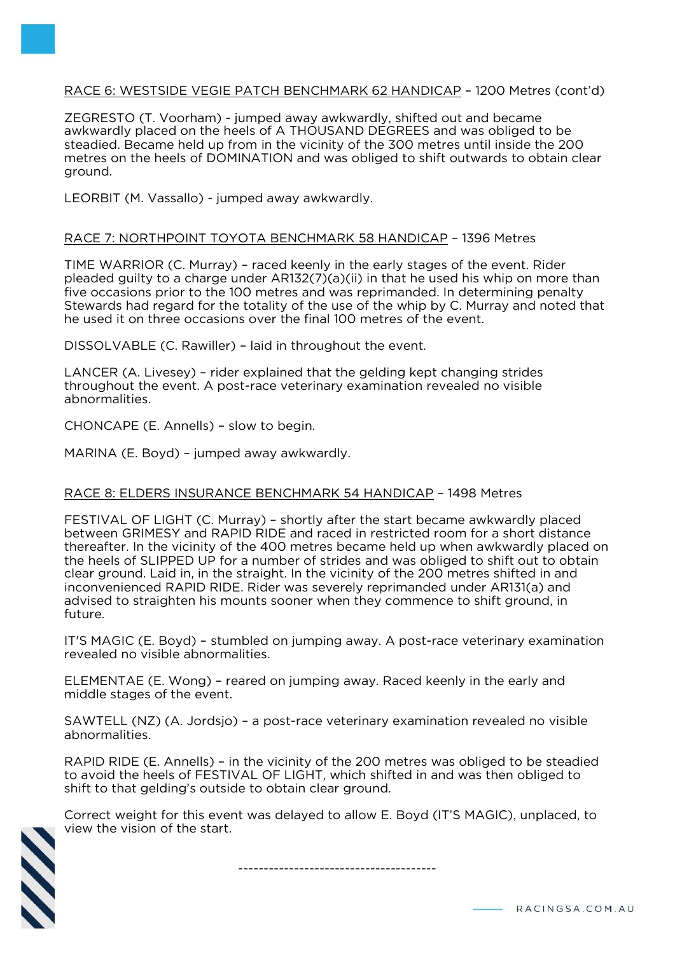# RACE 6: WESTSIDE VEGIE PATCH BENCHMARK 62 HANDICAP – 1200 Metres (cont'd)

ZEGRESTO (T. Voorham) - jumped away awkwardly, shifted out and became awkwardly placed on the heels of A THOUSAND DEGREES and was obliged to be steadied. Became held up from in the vicinity of the 300 metres until inside the 200 metres on the heels of DOMINATION and was obliged to shift outwards to obtain clear ground.

LEORBIT (M. Vassallo) - jumped away awkwardly.

#### RACE 7: NORTHPOINT TOYOTA BENCHMARK 58 HANDICAP – 1396 Metres

TIME WARRIOR (C. Murray) – raced keenly in the early stages of the event. Rider pleaded guilty to a charge under AR132(7)(a)(ii) in that he used his whip on more than five occasions prior to the 100 metres and was reprimanded. In determining penalty Stewards had regard for the totality of the use of the whip by C. Murray and noted that he used it on three occasions over the final 100 metres of the event.

DISSOLVABLE (C. Rawiller) – laid in throughout the event.

LANCER (A. Livesey) – rider explained that the gelding kept changing strides throughout the event. A post-race veterinary examination revealed no visible abnormalities.

CHONCAPE (E. Annells) – slow to begin.

**September 2** 

MARINA (E. Boyd) – jumped away awkwardly.

### RACE 8: ELDERS INSURANCE BENCHMARK 54 HANDICAP – 1498 Metres

FESTIVAL OF LIGHT (C. Murray) – shortly after the start became awkwardly placed between GRIMESY and RAPID RIDE and raced in restricted room for a short distance thereafter. In the vicinity of the 400 metres became held up when awkwardly placed on the heels of SLIPPED UP for a number of strides and was obliged to shift out to obtain clear ground. Laid in, in the straight. In the vicinity of the 200 metres shifted in and inconvenienced RAPID RIDE. Rider was severely reprimanded under AR131(a) and advised to straighten his mounts sooner when they commence to shift ground, in future.

IT'S MAGIC (E. Boyd) – stumbled on jumping away. A post-race veterinary examination revealed no visible abnormalities.

ELEMENTAE (E. Wong) – reared on jumping away. Raced keenly in the early and middle stages of the event.

SAWTELL (NZ) (A. Jordsjo) – a post-race veterinary examination revealed no visible abnormalities.

RAPID RIDE (E. Annells) – in the vicinity of the 200 metres was obliged to be steadied to avoid the heels of FESTIVAL OF LIGHT, which shifted in and was then obliged to shift to that gelding's outside to obtain clear ground.

Correct weight for this event was delayed to allow E. Boyd (IT'S MAGIC), unplaced, to view the vision of the start.